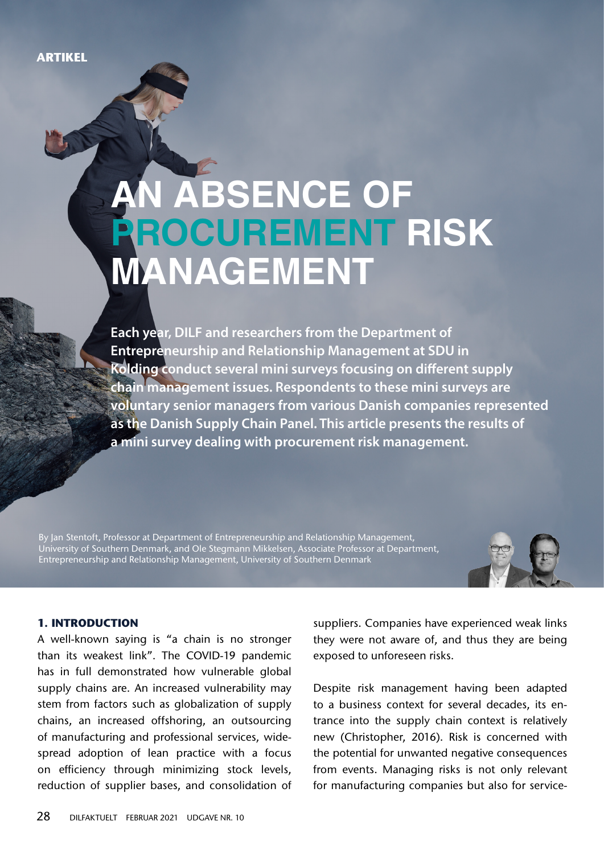# **An absence of procurement risk MANAGEMENT**

**Each year, DILF and researchers from the Department of Entrepreneurship and Relationship Management at SDU in Kolding conduct several mini surveys focusing on different supply chain management issues. Respondents to these mini surveys are voluntary senior managers from various Danish companies represented as the Danish Supply Chain Panel. This article presents the results of a mini survey dealing with procurement risk management.**

By Jan Stentoft, Professor at Department of Entrepreneurship and Relationship Management, University of Southern Denmark, and Ole Stegmann Mikkelsen, Associate Professor at Department, Entrepreneurship and Relationship Management, University of Southern Denmark



## **1. Introduction**

A well-known saying is "a chain is no stronger than its weakest link". The COVID-19 pandemic has in full demonstrated how vulnerable global supply chains are. An increased vulnerability may stem from factors such as globalization of supply chains, an increased offshoring, an outsourcing of manufacturing and professional services, widespread adoption of lean practice with a focus on efficiency through minimizing stock levels, reduction of supplier bases, and consolidation of

suppliers. Companies have experienced weak links they were not aware of, and thus they are being exposed to unforeseen risks.

Despite risk management having been adapted to a business context for several decades, its entrance into the supply chain context is relatively new (Christopher, 2016). Risk is concerned with the potential for unwanted negative consequences from events. Managing risks is not only relevant for manufacturing companies but also for service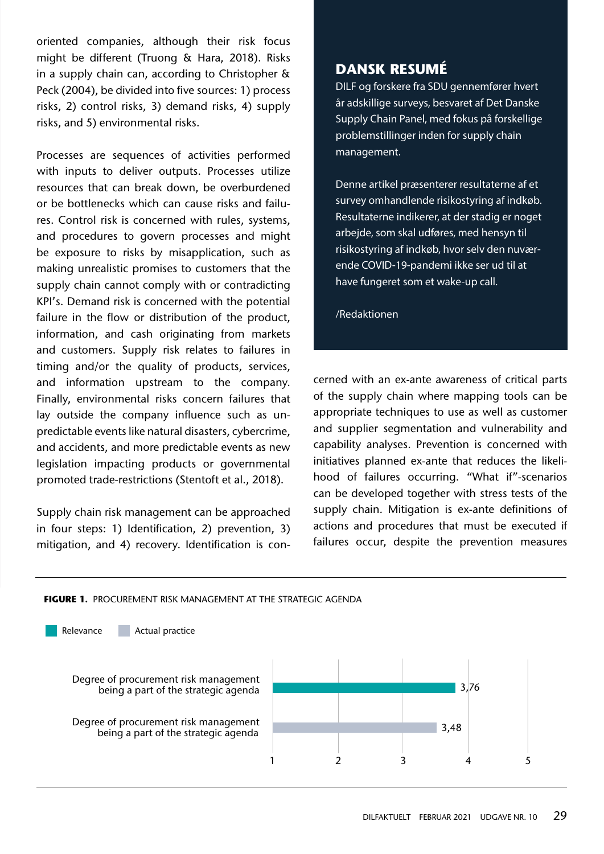oriented companies, although their risk focus might be different (Truong & Hara, 2018). Risks in a supply chain can, according to Christopher & Peck (2004), be divided into five sources: 1) process risks, 2) control risks, 3) demand risks, 4) supply risks, and 5) environmental risks.

Processes are sequences of activities performed with inputs to deliver outputs. Processes utilize resources that can break down, be overburdened or be bottlenecks which can cause risks and failures. Control risk is concerned with rules, systems, and procedures to govern processes and might be exposure to risks by misapplication, such as making unrealistic promises to customers that the supply chain cannot comply with or contradicting KPI's. Demand risk is concerned with the potential failure in the flow or distribution of the product, information, and cash originating from markets and customers. Supply risk relates to failures in timing and/or the quality of products, services, and information upstream to the company. Finally, environmental risks concern failures that lay outside the company influence such as unpredictable events like natural disasters, cybercrime, and accidents, and more predictable events as new legislation impacting products or governmental promoted trade-restrictions (Stentoft et al., 2018).

Supply chain risk management can be approached in four steps: 1) Identification, 2) prevention, 3) mitigation, and 4) recovery. Identification is con-

## **dansk resumé**

DILF og forskere fra SDU gennemfører hvert år adskillige surveys, besvaret af Det Danske Supply Chain Panel, med fokus på forskellige problemstillinger inden for supply chain management.

Denne artikel præsenterer resultaterne af et survey omhandlende risikostyring af indkøb. Resultaterne indikerer, at der stadig er noget arbejde, som skal udføres, med hensyn til risikostyring af indkøb, hvor selv den nuværende COVID-19-pandemi ikke ser ud til at have fungeret som et wake-up call.

/Redaktionen

cerned with an ex-ante awareness of critical parts of the supply chain where mapping tools can be appropriate techniques to use as well as customer and supplier segmentation and vulnerability and capability analyses. Prevention is concerned with initiatives planned ex-ante that reduces the likelihood of failures occurring. "What if"-scenarios can be developed together with stress tests of the supply chain. Mitigation is ex-ante definitions of actions and procedures that must be executed if failures occur, despite the prevention measures

#### **FIGURE 1.**Procurement risk management at the strategic agenda

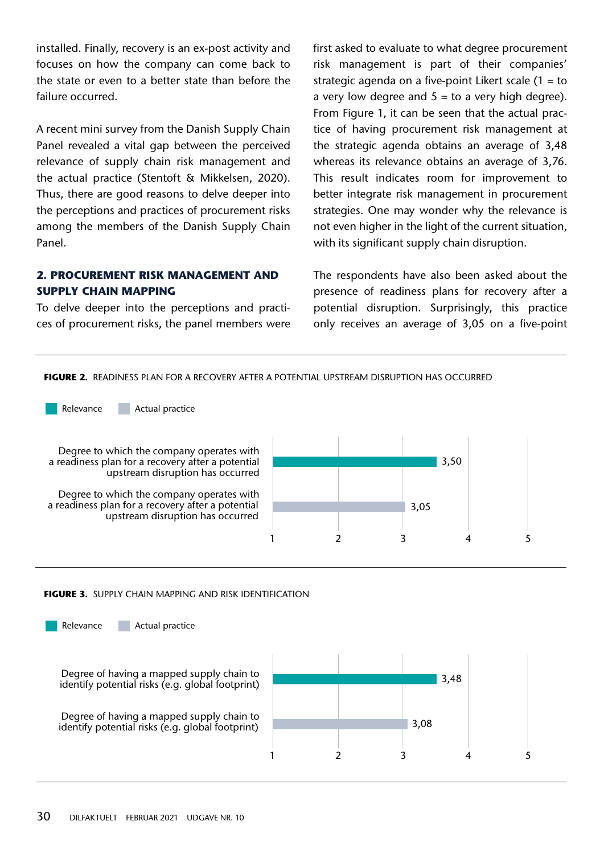installed. Finally, recovery is an ex-post activity and focuses on how the company can come back to the state or even to a better state than before the failure occurred.

A recent mini survey from the Danish Supply Chain Panel revealed a vital gap between the perceived relevance of supply chain risk management and the actual practice (Stentoft & Mikkelsen, 2020). Thus, there are good reasons to delve deeper into the perceptions and practices of procurement risks among the members of the Danish Supply Chain Panel.

## **2. Procurement risk management and supply chain mapping**

To delve deeper into the perceptions and practices of procurement risks, the panel members were first asked to evaluate to what degree procurement risk management is part of their companies' strategic agenda on a five-point Likert scale  $(1 = to$ a very low degree and  $5 =$  to a very high degree). From Figure 1, it can be seen that the actual practice of having procurement risk management at the strategic agenda obtains an average of 3,48 whereas its relevance obtains an average of 3,76. This result indicates room for improvement to better integrate risk management in procurement strategies. One may wonder why the relevance is not even higher in the light of the current situation, with its significant supply chain disruption.

The respondents have also been asked about the presence of readiness plans for recovery after a potential disruption. Surprisingly, this practice only receives an average of 3,05 on a five-point

**FIGURE 2.**Readiness plan for a recovery after a potential upstream disruption has occurred

Degree to which the company operates with a readiness plan for a recovery after a potential upstream disruption has occurred Degree to which the company operates with a readiness plan for a recovery after a potential Relevance **Actual practice** 

upstream disruption has occurred



#### **FIGURE 3.**Supply chain mapping and risk identification

Degree of having a mapped supply chain to identify potential risks (e.g. global footprint) Degree of having a mapped supply chain to identify potential risks (e.g. global footprint) Relevance **Actual practice** 

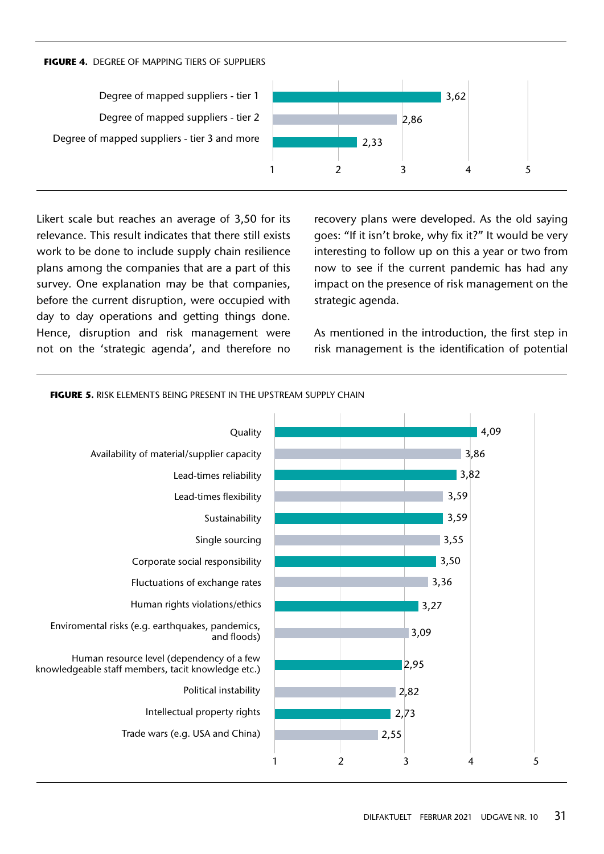#### **FIGURE 4.**Degree of mapping tiers of suppliers

Degree of mapped suppliers - tier 1 Degree of mapped suppliers - tier 2 Degree of mapped suppliers - tier 3 and more



Likert scale but reaches an average of 3,50 for its relevance. This result indicates that there still exists work to be done to include supply chain resilience plans among the companies that are a part of this survey. One explanation may be that companies, before the current disruption, were occupied with day to day operations and getting things done. Hence, disruption and risk management were not on the 'strategic agenda', and therefore no recovery plans were developed. As the old saying goes: "If it isn't broke, why fix it?" It would be very interesting to follow up on this a year or two from now to see if the current pandemic has had any impact on the presence of risk management on the strategic agenda.

As mentioned in the introduction, the first step in risk management is the identification of potential



**FIGURE 5. RISK ELEMENTS BEING PRESENT IN THE UPSTREAM SUPPLY CHAIN**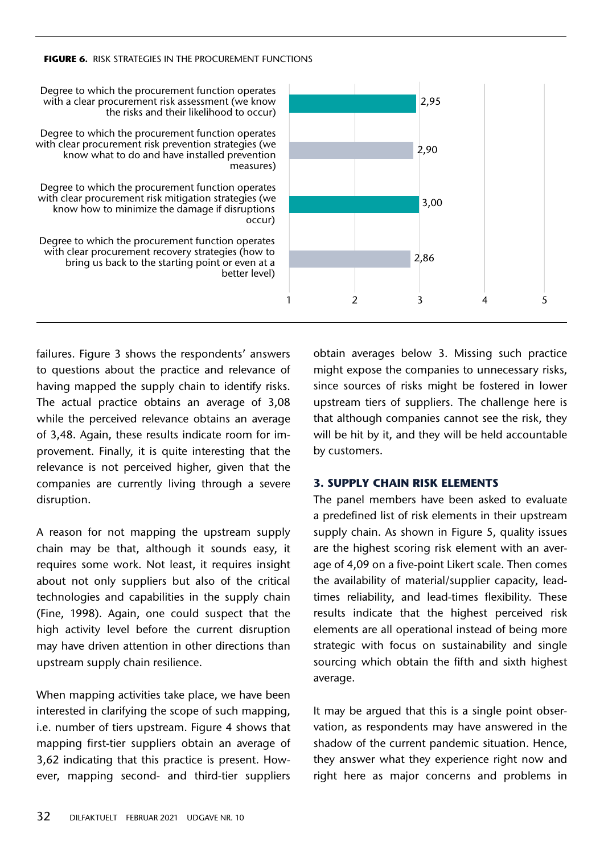#### **FIGURE 6.**Risk strategies in the procurement functions



failures. Figure 3 shows the respondents' answers to questions about the practice and relevance of having mapped the supply chain to identify risks. The actual practice obtains an average of 3,08 while the perceived relevance obtains an average of 3,48. Again, these results indicate room for improvement. Finally, it is quite interesting that the relevance is not perceived higher, given that the companies are currently living through a severe disruption.

A reason for not mapping the upstream supply chain may be that, although it sounds easy, it requires some work. Not least, it requires insight about not only suppliers but also of the critical technologies and capabilities in the supply chain (Fine, 1998). Again, one could suspect that the high activity level before the current disruption may have driven attention in other directions than upstream supply chain resilience.

When mapping activities take place, we have been interested in clarifying the scope of such mapping, i.e. number of tiers upstream. Figure 4 shows that mapping first-tier suppliers obtain an average of 3,62 indicating that this practice is present. However, mapping second- and third-tier suppliers

obtain averages below 3. Missing such practice might expose the companies to unnecessary risks, since sources of risks might be fostered in lower upstream tiers of suppliers. The challenge here is that although companies cannot see the risk, they will be hit by it, and they will be held accountable by customers.

#### **3. Supply chain risk elements**

The panel members have been asked to evaluate a predefined list of risk elements in their upstream supply chain. As shown in Figure 5, quality issues are the highest scoring risk element with an average of 4,09 on a five-point Likert scale. Then comes the availability of material/supplier capacity, leadtimes reliability, and lead-times flexibility. These results indicate that the highest perceived risk elements are all operational instead of being more strategic with focus on sustainability and single sourcing which obtain the fifth and sixth highest average.

It may be argued that this is a single point observation, as respondents may have answered in the shadow of the current pandemic situation. Hence, they answer what they experience right now and right here as major concerns and problems in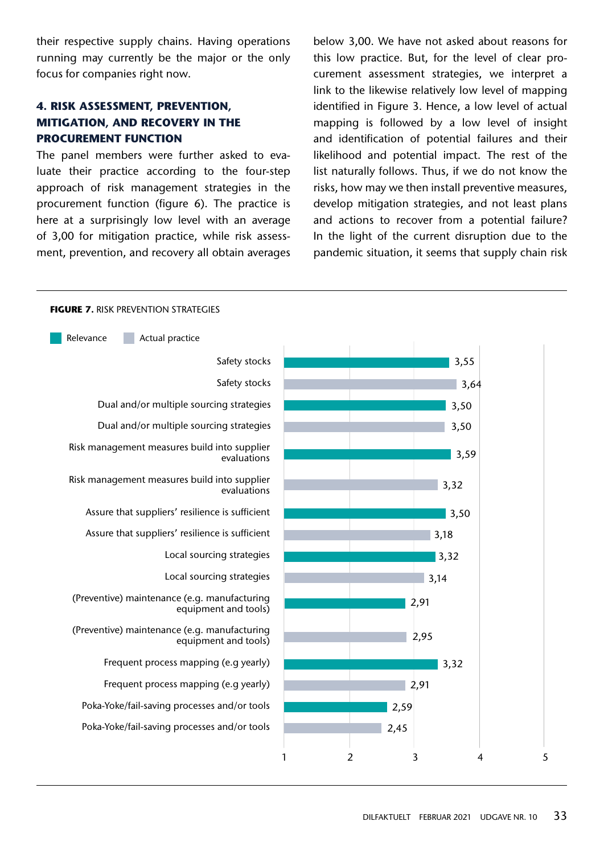their respective supply chains. Having operations running may currently be the major or the only focus for companies right now.

## **4. Risk assessment, prevention, mitigation, and recovery in the procurement function**

The panel members were further asked to evaluate their practice according to the four-step approach of risk management strategies in the procurement function (figure 6). The practice is here at a surprisingly low level with an average of 3,00 for mitigation practice, while risk assessment, prevention, and recovery all obtain averages below 3,00. We have not asked about reasons for this low practice. But, for the level of clear procurement assessment strategies, we interpret a link to the likewise relatively low level of mapping identified in Figure 3. Hence, a low level of actual mapping is followed by a low level of insight and identification of potential failures and their likelihood and potential impact. The rest of the list naturally follows. Thus, if we do not know the risks, how may we then install preventive measures, develop mitigation strategies, and not least plans and actions to recover from a potential failure? In the light of the current disruption due to the pandemic situation, it seems that supply chain risk

#### 1 2 3 4 5 3,55 3,64 3,50 3,50 3,59 3,32  $3,50$ 3,18 3,32 3,14 2,91 2,95 3,32 2,91 Safety stocks Safety stocks Dual and/or multiple sourcing strategies Dual and/or multiple sourcing strategies Risk management measures build into supplier evaluations Risk management measures build into supplier evaluations Assure that suppliers' resilience is sufficient Assure that suppliers' resilience is sufficient Local sourcing strategies Local sourcing strategies (Preventive) maintenance (e.g. manufacturing equipment and tools) (Preventive) maintenance (e.g. manufacturing equipment and tools) Frequent process mapping (e.g yearly) Frequent process mapping (e.g yearly) Poka-Yoke/fail-saving processes and/or tools Poka-Yoke/fail-saving processes and/or tools Relevance **Actual practice** 2,59 2,45

#### **FIGURE 7. RISK PREVENTION STRATEGIES**